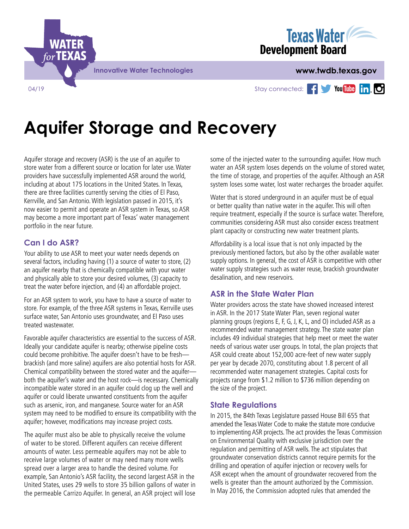



Stay connected: Fig. You under in. O

# **Aquifer Storage and Recovery**

Aquifer storage and recovery (ASR) is the use of an aquifer to store water from a different source or location for later use. Water providers have successfully implemented ASR around the world, including at about 175 locations in the United States. In Texas, there are three facilities currently serving the cities of El Paso, Kerrville, and San Antonio. With legislation passed in 2015, it's now easier to permit and operate an ASR system in Texas, so ASR may become a more important part of Texas' water management portfolio in the near future.

## **Can I do ASR?**

Your ability to use ASR to meet your water needs depends on several factors, including having (1) a source of water to store, (2) an aquifer nearby that is chemically compatible with your water and physically able to store your desired volumes, (3) capacity to treat the water before injection, and (4) an affordable project.

For an ASR system to work, you have to have a source of water to store. For example, of the three ASR systems in Texas, Kerrville uses surface water, San Antonio uses groundwater, and El Paso uses treated wastewater.

Favorable aquifer characteristics are essential to the success of ASR. Ideally your candidate aquifer is nearby; otherwise pipeline costs could become prohibitive. The aquifer doesn't have to be fresh brackish (and more saline) aquifers are also potential hosts for ASR. Chemical compatibility between the stored water and the aquifer both the aquifer's water and the host rock—is necessary. Chemically incompatible water stored in an aquifer could clog up the well and aquifer or could liberate unwanted constituents from the aquifer such as arsenic, iron, and manganese. Source water for an ASR system may need to be modified to ensure its compatibility with the aquifer; however, modifications may increase project costs.

The aquifer must also be able to physically receive the volume of water to be stored. Different aquifers can receive different amounts of water. Less permeable aquifers may not be able to receive large volumes of water or may need many more wells spread over a larger area to handle the desired volume. For example, San Antonio's ASR facility, the second largest ASR in the United States, uses 29 wells to store 35 billion gallons of water in the permeable Carrizo Aquifer. In general, an ASR project will lose some of the injected water to the surrounding aquifer. How much water an ASR system loses depends on the volume of stored water, the time of storage, and properties of the aquifer. Although an ASR system loses some water, lost water recharges the broader aquifer.

Water that is stored underground in an aquifer must be of equal or better quality than native water in the aquifer. This will often require treatment, especially if the source is surface water. Therefore, communities considering ASR must also consider excess treatment plant capacity or constructing new water treatment plants.

Affordability is a local issue that is not only impacted by the previously mentioned factors, but also by the other available water supply options. In general, the cost of ASR is competitive with other water supply strategies such as water reuse, brackish groundwater desalination, and new reservoirs.

### **ASR in the State Water Plan**

Water providers across the state have showed increased interest in ASR. In the 2017 State Water Plan, seven regional water planning groups (regions E, F, G, J, K, L, and O) included ASR as a recommended water management strategy. The state water plan includes 49 individual strategies that help meet or meet the water needs of various water user groups. In total, the plan projects that ASR could create about 152,000 acre-feet of new water supply per year by decade 2070, constituting about 1.8 percent of all recommended water management strategies. Capital costs for projects range from \$1.2 million to \$736 million depending on the size of the project.

### **State Regulations**

In 2015, the 84th Texas Legislature passed House Bill 655 that amended the Texas Water Code to make the statute more conducive to implementing ASR projects. The act provides the Texas Commission on Environmental Quality with exclusive jurisdiction over the regulation and permitting of ASR wells. The act stipulates that groundwater conservation districts cannot require permits for the drilling and operation of aquifer injection or recovery wells for ASR except when the amount of groundwater recovered from the wells is greater than the amount authorized by the Commission. In May 2016, the Commission adopted rules that amended the